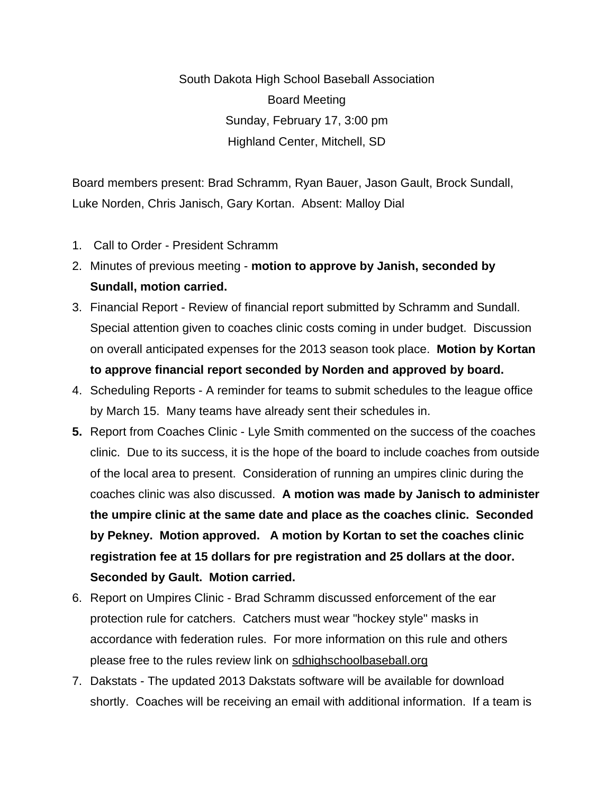South Dakota High School Baseball Association Board Meeting Sunday, February 17, 3:00 pm Highland Center, Mitchell, SD

Board members present: Brad Schramm, Ryan Bauer, Jason Gault, Brock Sundall, Luke Norden, Chris Janisch, Gary Kortan. Absent: Malloy Dial

- 1. Call to Order President Schramm
- 2. Minutes of previous meeting **motion to approve by Janish, seconded by Sundall, motion carried.**
- 3. Financial Report Review of financial report submitted by Schramm and Sundall. Special attention given to coaches clinic costs coming in under budget. Discussion on overall anticipated expenses for the 2013 season took place. **Motion by Kortan to approve financial report seconded by Norden and approved by board.**
- 4. Scheduling Reports A reminder for teams to submit schedules to the league office by March 15. Many teams have already sent their schedules in.
- **5.** Report from Coaches Clinic Lyle Smith commented on the success of the coaches clinic. Due to its success, it is the hope of the board to include coaches from outside of the local area to present. Consideration of running an umpires clinic during the coaches clinic was also discussed. **A motion was made by Janisch to administer the umpire clinic at the same date and place as the coaches clinic. Seconded by Pekney. Motion approved. A motion by Kortan to set the coaches clinic registration fee at 15 dollars for pre registration and 25 dollars at the door. Seconded by Gault. Motion carried.**
- 6. Report on Umpires Clinic Brad Schramm discussed enforcement of the ear protection rule for catchers. Catchers must wear "hockey style" masks in accordance with federation rules. For more information on this rule and others please free to the rules review link on [sdhighschoolbaseball.org](http://sdhighschoolbaseball.org/)
- 7. Dakstats The updated 2013 Dakstats software will be available for download shortly. Coaches will be receiving an email with additional information. If a team is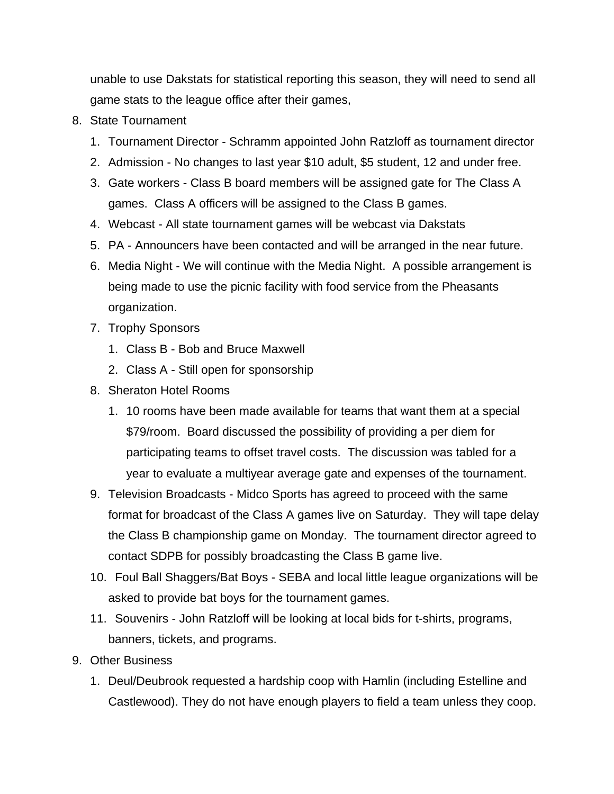unable to use Dakstats for statistical reporting this season, they will need to send all game stats to the league office after their games,

- 8. State Tournament
	- 1. Tournament Director Schramm appointed John Ratzloff as tournament director
	- 2. Admission No changes to last year \$10 adult, \$5 student, 12 and under free.
	- 3. Gate workers Class B board members will be assigned gate for The Class A games. Class A officers will be assigned to the Class B games.
	- 4. Webcast All state tournament games will be webcast via Dakstats
	- 5. PA Announcers have been contacted and will be arranged in the near future.
	- 6. Media Night We will continue with the Media Night. A possible arrangement is being made to use the picnic facility with food service from the Pheasants organization.
	- 7. Trophy Sponsors
		- 1. Class B Bob and Bruce Maxwell
		- 2. Class A Still open for sponsorship
	- 8. Sheraton Hotel Rooms
		- 1. 10 rooms have been made available for teams that want them at a special \$79/room. Board discussed the possibility of providing a per diem for participating teams to offset travel costs. The discussion was tabled for a year to evaluate a multiyear average gate and expenses of the tournament.
	- 9. Television Broadcasts Midco Sports has agreed to proceed with the same format for broadcast of the Class A games live on Saturday. They will tape delay the Class B championship game on Monday. The tournament director agreed to contact SDPB for possibly broadcasting the Class B game live.
	- 10. Foul Ball Shaggers/Bat Boys SEBA and local little league organizations will be asked to provide bat boys for the tournament games.
	- 11. Souvenirs John Ratzloff will be looking at local bids for t-shirts, programs, banners, tickets, and programs.
- 9. Other Business
	- 1. Deul/Deubrook requested a hardship coop with Hamlin (including Estelline and Castlewood). They do not have enough players to field a team unless they coop.